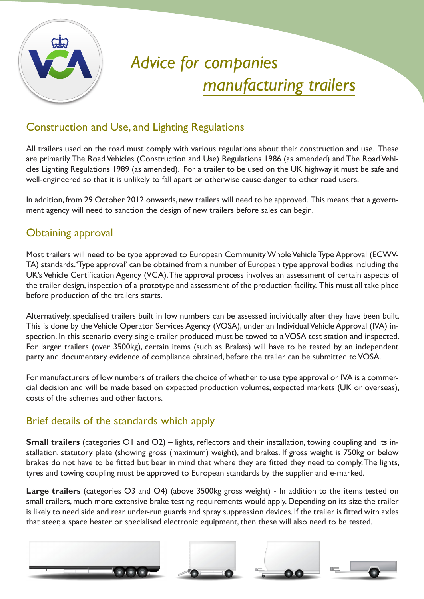

# *Advice for companies manufacturing trailers*

# Construction and Use, and Lighting Regulations

All trailers used on the road must comply with various regulations about their construction and use. These are primarily The Road Vehicles (Construction and Use) Regulations 1986 (as amended) and The Road Vehicles Lighting Regulations 1989 (as amended). For a trailer to be used on the UK highway it must be safe and well-engineered so that it is unlikely to fall apart or otherwise cause danger to other road users.

In addition, from 29 October 2012 onwards, new trailers will need to be approved. This means that a government agency will need to sanction the design of new trailers before sales can begin.

# Obtaining approval

Most trailers will need to be type approved to European Community Whole Vehicle Type Approval (ECWV-TA) standards. 'Type approval' can be obtained from a number of European type approval bodies including the UK's Vehicle Certification Agency (VCA). The approval process involves an assessment of certain aspects of the trailer design, inspection of a prototype and assessment of the production facility. This must all take place before production of the trailers starts.

Alternatively, specialised trailers built in low numbers can be assessed individually after they have been built. This is done by the Vehicle Operator Services Agency (VOSA), under an Individual Vehicle Approval (IVA) inspection. In this scenario every single trailer produced must be towed to a VOSA test station and inspected. For larger trailers (over 3500kg), certain items (such as Brakes) will have to be tested by an independent party and documentary evidence of compliance obtained, before the trailer can be submitted to VOSA.

For manufacturers of low numbers of trailers the choice of whether to use type approval or IVA is a commercial decision and will be made based on expected production volumes, expected markets (UK or overseas), costs of the schemes and other factors.

## Brief details of the standards which apply

**Small trailers** (categories O1 and O2) – lights, reflectors and their installation, towing coupling and its installation, statutory plate (showing gross (maximum) weight), and brakes. If gross weight is 750kg or below brakes do not have to be fitted but bear in mind that where they are fitted they need to comply. The lights, tyres and towing coupling must be approved to European standards by the supplier and e-marked.

**Large trailers** (categories O3 and O4) (above 3500kg gross weight) - In addition to the items tested on small trailers, much more extensive brake testing requirements would apply. Depending on its size the trailer is likely to need side and rear under-run guards and spray suppression devices. If the trailer is fitted with axles that steer, a space heater or specialised electronic equipment, then these will also need to be tested.